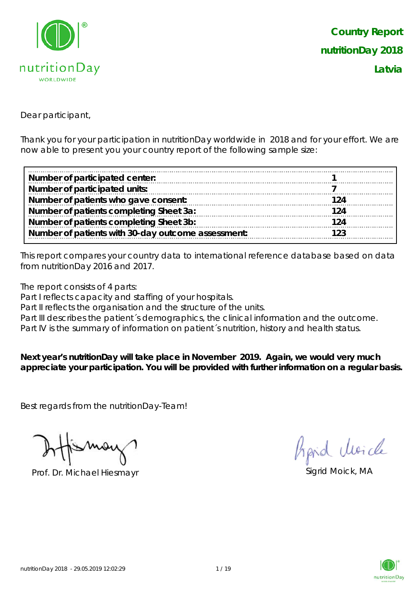

Dear participant,

Thank you for your participation in nutritionDay worldwide in 2018 and for your effort. We are now able to present you your country report of the following sample size:

| Number of participated center:                     |     |
|----------------------------------------------------|-----|
| Number of participated units:                      |     |
| Number of patients who gave consent:               | 124 |
| Number of patients completing Sheet 3a:            | 124 |
| Number of patients completing Sheet 3b:            | 124 |
| Number of patients with 30-day outcome assessment: | 123 |

This report compares your country data to international reference database based on data from nutritionDay 2016 and 2017.

The report consists of 4 parts:

Part I reflects capacity and staffing of your hospitals.

Part II reflects the organisation and the structure of the units.

Part III describes the patient's demographics, the clinical information and the outcome.

Part IV is the summary of information on patient's nutrition, history and health status.

**Next year's nutritionDay will take place in November 2019. Again, we would very much appreciate your participation. You will be provided with further information on a regular basis.**

Best regards from the nutritionDay-Team!

Prof. Dr. Michael Hiesmayr Sigrid Moick, MA

hard Moich

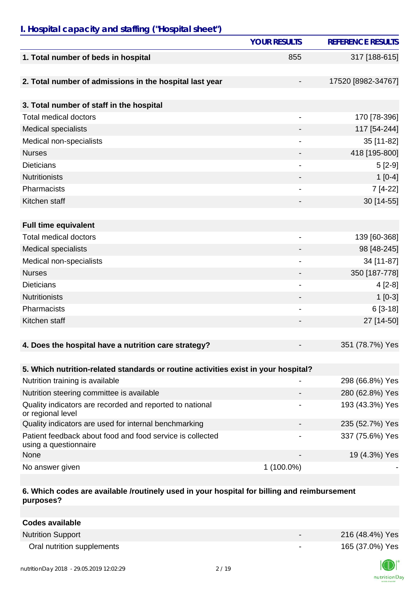# *I. Hospital capacity and staffing ("Hospital sheet")*

|                                                                                    | <b>YOUR RESULTS</b>          | <b>REFERENCE RESULTS</b> |
|------------------------------------------------------------------------------------|------------------------------|--------------------------|
| 1. Total number of beds in hospital                                                | 855                          | 317 [188-615]            |
| 2. Total number of admissions in the hospital last year                            |                              | 17520 [8982-34767]       |
| 3. Total number of staff in the hospital                                           |                              |                          |
| <b>Total medical doctors</b>                                                       | $\overline{\phantom{a}}$     | 170 [78-396]             |
| <b>Medical specialists</b>                                                         |                              | 117 [54-244]             |
| Medical non-specialists                                                            |                              | 35 [11-82]               |
| <b>Nurses</b>                                                                      | -                            | 418 [195-800]            |
| <b>Dieticians</b>                                                                  |                              | $5[2-9]$                 |
| <b>Nutritionists</b>                                                               |                              | $1[0-4]$                 |
| Pharmacists                                                                        |                              | 7 [4-22]                 |
| Kitchen staff                                                                      | -                            | 30 [14-55]               |
|                                                                                    |                              |                          |
| <b>Full time equivalent</b>                                                        |                              |                          |
| <b>Total medical doctors</b>                                                       | $\overline{\phantom{a}}$     | 139 [60-368]             |
| <b>Medical specialists</b>                                                         |                              | 98 [48-245]              |
| Medical non-specialists                                                            |                              | 34 [11-87]               |
| <b>Nurses</b>                                                                      |                              | 350 [187-778]            |
| <b>Dieticians</b>                                                                  | $\qquad \qquad \blacksquare$ | $4[2-8]$                 |
| <b>Nutritionists</b>                                                               | -                            | $1[0-3]$                 |
| Pharmacists                                                                        |                              | $6[3-18]$                |
| Kitchen staff                                                                      |                              | 27 [14-50]               |
|                                                                                    |                              |                          |
| 4. Does the hospital have a nutrition care strategy?                               |                              | 351 (78.7%) Yes          |
|                                                                                    |                              |                          |
| 5. Which nutrition-related standards or routine activities exist in your hospital? |                              |                          |
| Nutrition training is available                                                    |                              | 298 (66.8%) Yes          |
| Nutrition steering committee is available                                          |                              | 280 (62.8%) Yes          |
| Quality indicators are recorded and reported to national<br>or regional level      |                              | 193 (43.3%) Yes          |
| Quality indicators are used for internal benchmarking                              |                              | 235 (52.7%) Yes          |
| Patient feedback about food and food service is collected<br>using a questionnaire |                              | 337 (75.6%) Yes          |
| None                                                                               |                              | 19 (4.3%) Yes            |
| No answer given                                                                    | 1 (100.0%)                   |                          |

### **6. Which codes are available /routinely used in your hospital for billing and reimbursement purposes?**

| <b>Codes available</b>     |                          |                 |
|----------------------------|--------------------------|-----------------|
| <b>Nutrition Support</b>   | $\overline{\phantom{0}}$ | 216 (48.4%) Yes |
| Oral nutrition supplements | ۰                        | 165 (37.0%) Yes |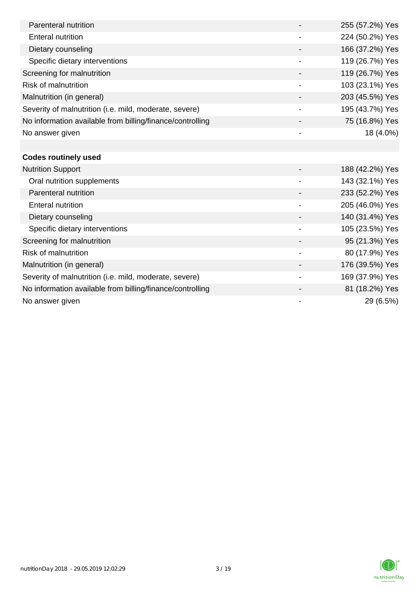| Parenteral nutrition                                      |                          | 255 (57.2%) Yes |
|-----------------------------------------------------------|--------------------------|-----------------|
| Enteral nutrition                                         |                          | 224 (50.2%) Yes |
| Dietary counseling                                        |                          | 166 (37.2%) Yes |
| Specific dietary interventions                            | $\overline{\phantom{a}}$ | 119 (26.7%) Yes |
| Screening for malnutrition                                |                          | 119 (26.7%) Yes |
| <b>Risk of malnutrition</b>                               |                          | 103 (23.1%) Yes |
| Malnutrition (in general)                                 |                          | 203 (45.5%) Yes |
| Severity of malnutrition (i.e. mild, moderate, severe)    |                          | 195 (43.7%) Yes |
| No information available from billing/finance/controlling |                          | 75 (16.8%) Yes  |
| No answer given                                           |                          | 18 (4.0%)       |
|                                                           |                          |                 |
| <b>Codes routinely used</b>                               |                          |                 |
| <b>Nutrition Support</b>                                  |                          | 188 (42.2%) Yes |
| Oral nutrition supplements                                |                          | 143 (32.1%) Yes |
| Parenteral nutrition                                      |                          | 233 (52.2%) Yes |
| <b>Enteral nutrition</b>                                  |                          | 205 (46.0%) Yes |

| Enteral nutrition                                         |                          | 205 (46.0%) Yes |
|-----------------------------------------------------------|--------------------------|-----------------|
| Dietary counseling                                        |                          | 140 (31.4%) Yes |
| Specific dietary interventions                            |                          | 105 (23.5%) Yes |
| Screening for malnutrition                                |                          | 95 (21.3%) Yes  |
| Risk of malnutrition                                      |                          | 80 (17.9%) Yes  |
| Malnutrition (in general)                                 |                          | 176 (39.5%) Yes |
| Severity of malnutrition (i.e. mild, moderate, severe)    | $\overline{\phantom{0}}$ | 169 (37.9%) Yes |
| No information available from billing/finance/controlling |                          | 81 (18.2%) Yes  |
| No answer given                                           |                          | 29 (6.5%)       |

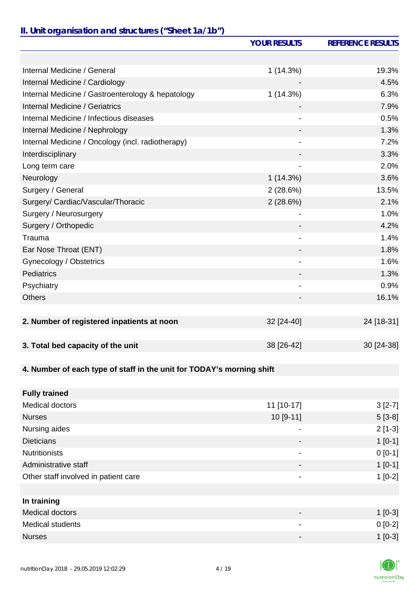### *II. Unit organisation and structures ("Sheet 1a/1b")*

|                                                                       | <b>YOUR RESULTS</b>          | <b>REFERENCE RESULTS</b> |
|-----------------------------------------------------------------------|------------------------------|--------------------------|
|                                                                       |                              |                          |
| Internal Medicine / General                                           | 1(14.3%)                     | 19.3%                    |
| Internal Medicine / Cardiology                                        |                              | 4.5%                     |
| Internal Medicine / Gastroenterology & hepatology                     | 1(14.3%)                     | 6.3%                     |
| Internal Medicine / Geriatrics                                        |                              | 7.9%                     |
| Internal Medicine / Infectious diseases                               |                              | 0.5%                     |
| Internal Medicine / Nephrology                                        |                              | 1.3%                     |
| Internal Medicine / Oncology (incl. radiotherapy)                     |                              | 7.2%                     |
| Interdisciplinary                                                     |                              | 3.3%                     |
| Long term care                                                        |                              | 2.0%                     |
| Neurology                                                             | 1(14.3%)                     | 3.6%                     |
| Surgery / General                                                     | 2(28.6%)                     | 13.5%                    |
| Surgery/ Cardiac/Vascular/Thoracic                                    | 2(28.6%)                     | 2.1%                     |
| Surgery / Neurosurgery                                                | $\overline{\phantom{a}}$     | 1.0%                     |
| Surgery / Orthopedic                                                  |                              | 4.2%                     |
| Trauma                                                                |                              | 1.4%                     |
| Ear Nose Throat (ENT)                                                 |                              | 1.8%                     |
| Gynecology / Obstetrics                                               |                              | 1.6%                     |
| Pediatrics                                                            |                              | 1.3%                     |
| Psychiatry                                                            | $\qquad \qquad \blacksquare$ | 0.9%                     |
| <b>Others</b>                                                         |                              | 16.1%                    |
|                                                                       |                              |                          |
| 2. Number of registered inpatients at noon                            | 32 [24-40]                   | 24 [18-31]               |
|                                                                       |                              |                          |
| 3. Total bed capacity of the unit                                     | 38 [26-42]                   | 30 [24-38]               |
|                                                                       |                              |                          |
| 4. Number of each type of staff in the unit for TODAY's morning shift |                              |                          |
|                                                                       |                              |                          |
| <b>Fully trained</b>                                                  |                              |                          |
| Medical doctors                                                       | 11 [10-17]                   | $3[2-7]$                 |
| <b>Nurses</b>                                                         | 10 [9-11]                    | $5[3-8]$                 |
| Nursing aides                                                         | $\overline{\phantom{a}}$     | $2[1-3]$                 |
| <b>Dieticians</b>                                                     |                              | $1[0-1]$                 |
| <b>Nutritionists</b>                                                  |                              | $0 [0-1]$                |
| Administrative staff                                                  |                              | $1[0-1]$                 |

| In training             |                          |           |
|-------------------------|--------------------------|-----------|
| Medical doctors         | $\overline{\phantom{0}}$ | $1[0-3]$  |
| <b>Medical students</b> | $\overline{\phantom{0}}$ | $0$ [0-2] |
| Nurses                  | $\overline{\phantom{0}}$ | $1[0-3]$  |

Other staff involved in patient care 1 and 2 and 2 and 2 and 2 and 2 and 2 and 2 and 2 and 2 and 2 and 2 and 2 and 2 and 2 and 2 and 2 and 2 and 2 and 2 and 2 and 2 and 2 and 2 and 2 and 2 and 2 and 2 and 2 and 2 and 2 and

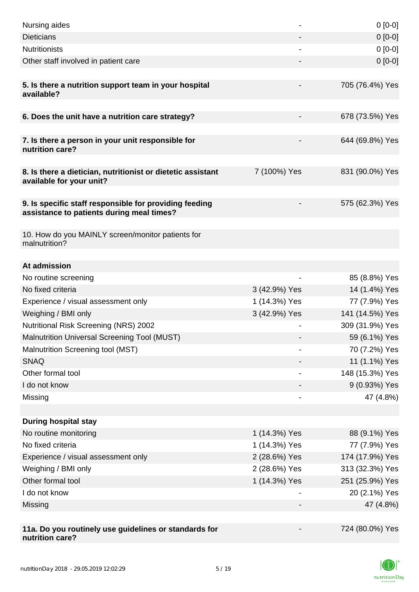| Nursing aides                                                                                       |               | $0[0-0]$        |
|-----------------------------------------------------------------------------------------------------|---------------|-----------------|
| <b>Dieticians</b>                                                                                   |               | $0[0-0]$        |
| <b>Nutritionists</b>                                                                                |               | $0[0-0]$        |
| Other staff involved in patient care                                                                |               | $0 [0-0]$       |
| 5. Is there a nutrition support team in your hospital<br>available?                                 |               | 705 (76.4%) Yes |
| 6. Does the unit have a nutrition care strategy?                                                    |               | 678 (73.5%) Yes |
| 7. Is there a person in your unit responsible for<br>nutrition care?                                |               | 644 (69.8%) Yes |
| 8. Is there a dietician, nutritionist or dietetic assistant<br>available for your unit?             | 7 (100%) Yes  | 831 (90.0%) Yes |
| 9. Is specific staff responsible for providing feeding<br>assistance to patients during meal times? |               | 575 (62.3%) Yes |
| 10. How do you MAINLY screen/monitor patients for<br>malnutrition?                                  |               |                 |
| At admission                                                                                        |               |                 |
| No routine screening                                                                                |               | 85 (8.8%) Yes   |
| No fixed criteria                                                                                   | 3 (42.9%) Yes | 14 (1.4%) Yes   |
| Experience / visual assessment only                                                                 | 1 (14.3%) Yes | 77 (7.9%) Yes   |
| Weighing / BMI only                                                                                 | 3 (42.9%) Yes | 141 (14.5%) Yes |
| <b>Nutritional Risk Screening (NRS) 2002</b>                                                        |               | 309 (31.9%) Yes |
| Malnutrition Universal Screening Tool (MUST)                                                        |               | 59 (6.1%) Yes   |
| Malnutrition Screening tool (MST)                                                                   |               | 70 (7.2%) Yes   |
| <b>SNAQ</b>                                                                                         |               | 11 (1.1%) Yes   |
| Other formal tool                                                                                   |               | 148 (15.3%) Yes |
| I do not know                                                                                       |               | 9 (0.93%) Yes   |
| Missing                                                                                             |               | 47 (4.8%)       |
|                                                                                                     |               |                 |
| <b>During hospital stay</b>                                                                         |               |                 |
| No routine monitoring                                                                               | 1 (14.3%) Yes | 88 (9.1%) Yes   |
| No fixed criteria                                                                                   | 1 (14.3%) Yes | 77 (7.9%) Yes   |
| Experience / visual assessment only                                                                 | 2 (28.6%) Yes | 174 (17.9%) Yes |
| Weighing / BMI only                                                                                 | 2 (28.6%) Yes | 313 (32.3%) Yes |
| Other formal tool                                                                                   | 1 (14.3%) Yes | 251 (25.9%) Yes |
| I do not know                                                                                       |               | 20 (2.1%) Yes   |
| Missing                                                                                             |               | 47 (4.8%)       |
|                                                                                                     |               |                 |
| 11a. Do you routinely use guidelines or standards for<br>nutrition care?                            |               | 724 (80.0%) Yes |

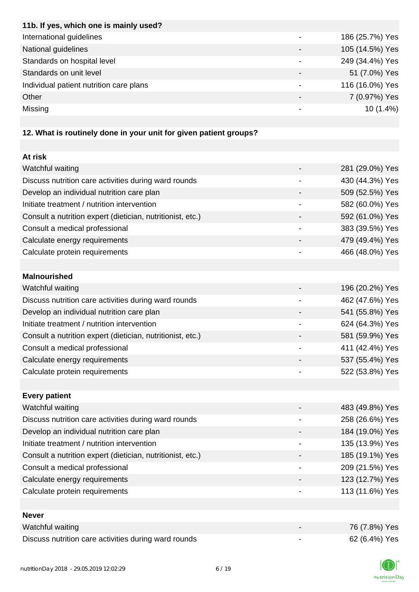| 11b. If yes, which one is mainly used?                           |                 |
|------------------------------------------------------------------|-----------------|
| International guidelines                                         | 186 (25.7%) Yes |
| National guidelines                                              | 105 (14.5%) Yes |
| Standards on hospital level                                      | 249 (34.4%) Yes |
| Standards on unit level                                          | 51 (7.0%) Yes   |
| Individual patient nutrition care plans                          | 116 (16.0%) Yes |
| Other                                                            | 7 (0.97%) Yes   |
| Missing                                                          | $10(1.4\%)$     |
|                                                                  |                 |
| 12 What is routinaly dang in your unit for given patient groups? |                 |

#### **12. What is routinely done in your unit for given patient groups?**

| At risk                                                    |                 |
|------------------------------------------------------------|-----------------|
| Watchful waiting                                           | 281 (29.0%) Yes |
| Discuss nutrition care activities during ward rounds       | 430 (44.3%) Yes |
| Develop an individual nutrition care plan                  | 509 (52.5%) Yes |
| Initiate treatment / nutrition intervention                | 582 (60.0%) Yes |
| Consult a nutrition expert (dietician, nutritionist, etc.) | 592 (61.0%) Yes |
| Consult a medical professional                             | 383 (39.5%) Yes |
| Calculate energy requirements                              | 479 (49.4%) Yes |
| Calculate protein requirements                             | 466 (48.0%) Yes |
|                                                            |                 |
| <b>Malnourished</b>                                        |                 |
| Watchful waiting                                           | 196 (20.2%) Yes |
| Discuss nutrition care activities during ward rounds       | 462 (47.6%) Yes |
| Develop an individual nutrition care plan                  | 541 (55.8%) Yes |
| Initiate treatment / nutrition intervention                | 624 (64.3%) Yes |
| Consult a nutrition expert (dietician, nutritionist, etc.) | 581 (59.9%) Yes |
| Consult a medical professional                             | 411 (42.4%) Yes |
| Calculate energy requirements                              | 537 (55.4%) Yes |
| Calculate protein requirements                             | 522 (53.8%) Yes |
|                                                            |                 |
| <b>Every patient</b>                                       |                 |
| Watchful waiting                                           | 483 (49.8%) Yes |
| Discuss nutrition care activities during ward rounds       | 258 (26.6%) Yes |
| Develop an individual nutrition care plan                  | 184 (19.0%) Yes |
| Initiate treatment / nutrition intervention                | 135 (13.9%) Yes |
| Consult a nutrition expert (dietician, nutritionist, etc.) | 185 (19.1%) Yes |
| Consult a medical professional                             | 209 (21.5%) Yes |
| Calculate energy requirements                              | 123 (12.7%) Yes |
| Calculate protein requirements                             | 113 (11.6%) Yes |
|                                                            |                 |
| <b>Never</b>                                               |                 |
| Watchful waiting                                           | 76 (7.8%) Yes   |
| Discuss nutrition care activities during ward rounds       | 62 (6.4%) Yes   |

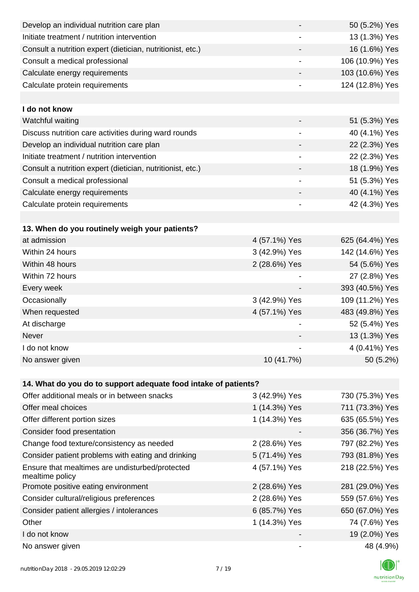| Develop an individual nutrition care plan                          |                              | 50 (5.2%) Yes   |
|--------------------------------------------------------------------|------------------------------|-----------------|
| Initiate treatment / nutrition intervention                        |                              | 13 (1.3%) Yes   |
| Consult a nutrition expert (dietician, nutritionist, etc.)         |                              | 16 (1.6%) Yes   |
| Consult a medical professional                                     | -                            | 106 (10.9%) Yes |
| Calculate energy requirements                                      | $\overline{\phantom{a}}$     | 103 (10.6%) Yes |
| Calculate protein requirements                                     |                              | 124 (12.8%) Yes |
|                                                                    |                              |                 |
| I do not know                                                      |                              |                 |
| Watchful waiting                                                   |                              | 51 (5.3%) Yes   |
| Discuss nutrition care activities during ward rounds               | $\qquad \qquad \blacksquare$ | 40 (4.1%) Yes   |
| Develop an individual nutrition care plan                          | -                            | 22 (2.3%) Yes   |
| Initiate treatment / nutrition intervention                        | $\qquad \qquad \blacksquare$ | 22 (2.3%) Yes   |
| Consult a nutrition expert (dietician, nutritionist, etc.)         |                              | 18 (1.9%) Yes   |
| Consult a medical professional                                     | -                            | 51 (5.3%) Yes   |
| Calculate energy requirements                                      |                              | 40 (4.1%) Yes   |
| Calculate protein requirements                                     | -                            | 42 (4.3%) Yes   |
|                                                                    |                              |                 |
| 13. When do you routinely weigh your patients?                     |                              |                 |
| at admission                                                       | 4 (57.1%) Yes                | 625 (64.4%) Yes |
| Within 24 hours                                                    | 3 (42.9%) Yes                | 142 (14.6%) Yes |
| Within 48 hours                                                    | 2 (28.6%) Yes                | 54 (5.6%) Yes   |
| Within 72 hours                                                    |                              | 27 (2.8%) Yes   |
| Every week                                                         | $\overline{\phantom{a}}$     | 393 (40.5%) Yes |
| Occasionally                                                       | 3 (42.9%) Yes                | 109 (11.2%) Yes |
| When requested                                                     | 4 (57.1%) Yes                | 483 (49.8%) Yes |
| At discharge                                                       |                              | 52 (5.4%) Yes   |
| Never                                                              |                              | 13 (1.3%) Yes   |
| I do not know                                                      |                              | 4 (0.41%) Yes   |
| No answer given                                                    | 10 (41.7%)                   | 50 (5.2%)       |
|                                                                    |                              |                 |
| 14. What do you do to support adequate food intake of patients?    |                              |                 |
| Offer additional meals or in between snacks                        | 3 (42.9%) Yes                | 730 (75.3%) Yes |
| Offer meal choices                                                 | 1 (14.3%) Yes                | 711 (73.3%) Yes |
| Offer different portion sizes                                      | 1 (14.3%) Yes                | 635 (65.5%) Yes |
| Consider food presentation                                         |                              | 356 (36.7%) Yes |
| Change food texture/consistency as needed                          | 2 (28.6%) Yes                | 797 (82.2%) Yes |
| Consider patient problems with eating and drinking                 | 5 (71.4%) Yes                | 793 (81.8%) Yes |
| Ensure that mealtimes are undisturbed/protected<br>mealtime policy | 4 (57.1%) Yes                | 218 (22.5%) Yes |
| Promote positive eating environment                                | 2 (28.6%) Yes                | 281 (29.0%) Yes |
| Consider cultural/religious preferences                            | 2 (28.6%) Yes                | 559 (57.6%) Yes |
| Consider patient allergies / intolerances                          | 6 (85.7%) Yes                | 650 (67.0%) Yes |
| Other                                                              | 1 (14.3%) Yes                | 74 (7.6%) Yes   |
| I do not know                                                      |                              | 19 (2.0%) Yes   |
| No answer given                                                    | $\qquad \qquad \blacksquare$ | 48 (4.9%)       |

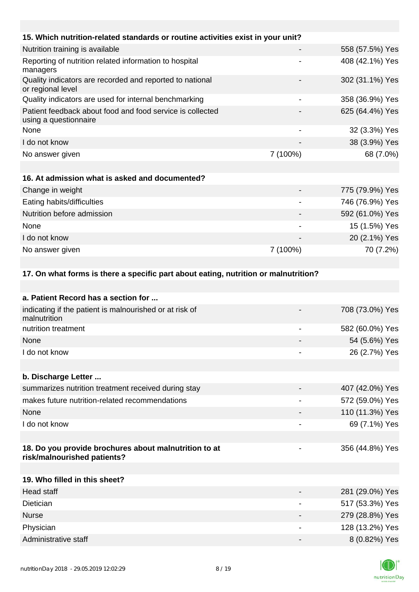| 15. Which nutrition-related standards or routine activities exist in your unit?      |                              |                 |
|--------------------------------------------------------------------------------------|------------------------------|-----------------|
| Nutrition training is available                                                      |                              | 558 (57.5%) Yes |
| Reporting of nutrition related information to hospital<br>managers                   |                              | 408 (42.1%) Yes |
| Quality indicators are recorded and reported to national<br>or regional level        |                              | 302 (31.1%) Yes |
| Quality indicators are used for internal benchmarking                                |                              | 358 (36.9%) Yes |
| Patient feedback about food and food service is collected<br>using a questionnaire   |                              | 625 (64.4%) Yes |
| None                                                                                 | $\qquad \qquad \blacksquare$ | 32 (3.3%) Yes   |
| I do not know                                                                        |                              | 38 (3.9%) Yes   |
| No answer given                                                                      | 7 (100%)                     | 68 (7.0%)       |
|                                                                                      |                              |                 |
| 16. At admission what is asked and documented?                                       |                              |                 |
| Change in weight                                                                     |                              | 775 (79.9%) Yes |
| Eating habits/difficulties                                                           |                              | 746 (76.9%) Yes |
| Nutrition before admission                                                           |                              | 592 (61.0%) Yes |
| None                                                                                 |                              | 15 (1.5%) Yes   |
| I do not know                                                                        |                              | 20 (2.1%) Yes   |
| No answer given                                                                      | 7 (100%)                     | 70 (7.2%)       |
|                                                                                      |                              |                 |
| 17. On what forms is there a specific part about eating, nutrition or malnutrition?  |                              |                 |
|                                                                                      |                              |                 |
| a. Patient Record has a section for                                                  |                              |                 |
| indicating if the patient is malnourished or at risk of<br>malnutrition              |                              | 708 (73.0%) Yes |
| nutrition treatment                                                                  | $\overline{\phantom{a}}$     | 582 (60.0%) Yes |
| None                                                                                 |                              | 54 (5.6%) Yes   |
| I do not know                                                                        |                              | 26 (2.7%) Yes   |
|                                                                                      |                              |                 |
| b. Discharge Letter                                                                  |                              |                 |
| summarizes nutrition treatment received during stay                                  |                              | 407 (42.0%) Yes |
| makes future nutrition-related recommendations                                       | $\overline{\phantom{a}}$     | 572 (59.0%) Yes |
| None                                                                                 |                              | 110 (11.3%) Yes |
| I do not know                                                                        |                              | 69 (7.1%) Yes   |
|                                                                                      |                              |                 |
| 18. Do you provide brochures about malnutrition to at<br>risk/malnourished patients? |                              | 356 (44.8%) Yes |
|                                                                                      |                              |                 |
| 19. Who filled in this sheet?                                                        |                              |                 |
| <b>Head staff</b>                                                                    |                              | 281 (29.0%) Yes |
| Dietician                                                                            |                              | 517 (53.3%) Yes |
| <b>Nurse</b>                                                                         |                              | 279 (28.8%) Yes |
| Physician                                                                            |                              | 128 (13.2%) Yes |
| Administrative staff                                                                 | -                            | 8 (0.82%) Yes   |

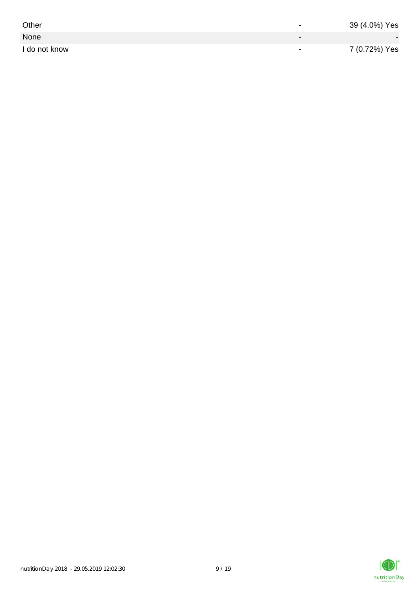| Other         | $\overline{\phantom{0}}$ | 39 (4.0%) Yes |
|---------------|--------------------------|---------------|
| None          |                          |               |
| I do not know | $\,$                     | 7 (0.72%) Yes |

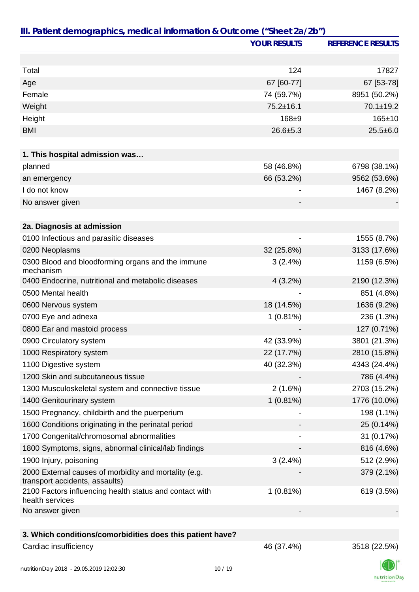|                                                                                         | <b>YOUR RESULTS</b> | <b>REFERENCE RESULTS</b> |
|-----------------------------------------------------------------------------------------|---------------------|--------------------------|
|                                                                                         |                     |                          |
| Total                                                                                   | 124                 | 17827                    |
| Age                                                                                     | 67 [60-77]          | 67 [53-78]               |
| Female                                                                                  | 74 (59.7%)          | 8951 (50.2%)             |
| Weight                                                                                  | $75.2 \pm 16.1$     | 70.1±19.2                |
| Height                                                                                  | 168±9               | 165±10                   |
| <b>BMI</b>                                                                              | $26.6 + 5.3$        | $25.5 \pm 6.0$           |
|                                                                                         |                     |                          |
| 1. This hospital admission was                                                          |                     |                          |
| planned                                                                                 | 58 (46.8%)          | 6798 (38.1%)             |
| an emergency                                                                            | 66 (53.2%)          | 9562 (53.6%)             |
| I do not know                                                                           |                     | 1467 (8.2%)              |
| No answer given                                                                         |                     |                          |
|                                                                                         |                     |                          |
| 2a. Diagnosis at admission                                                              |                     |                          |
| 0100 Infectious and parasitic diseases                                                  |                     | 1555 (8.7%)              |
| 0200 Neoplasms                                                                          | 32 (25.8%)          | 3133 (17.6%)             |
| 0300 Blood and bloodforming organs and the immune<br>mechanism                          | 3(2.4%)             | 1159 (6.5%)              |
| 0400 Endocrine, nutritional and metabolic diseases                                      | 4(3.2%)             | 2190 (12.3%)             |
| 0500 Mental health                                                                      |                     | 851 (4.8%)               |
| 0600 Nervous system                                                                     | 18 (14.5%)          | 1636 (9.2%)              |
| 0700 Eye and adnexa                                                                     | 1(0.81%)            | 236 (1.3%)               |
| 0800 Ear and mastoid process                                                            |                     | 127 (0.71%)              |
| 0900 Circulatory system                                                                 | 42 (33.9%)          | 3801 (21.3%)             |
| 1000 Respiratory system                                                                 | 22 (17.7%)          | 2810 (15.8%)             |
| 1100 Digestive system                                                                   | 40 (32.3%)          | 4343 (24.4%)             |
| 1200 Skin and subcutaneous tissue                                                       |                     | 786 (4.4%)               |
| 1300 Musculoskeletal system and connective tissue                                       | 2(1.6%)             | 2703 (15.2%)             |
| 1400 Genitourinary system                                                               | 1(0.81%)            | 1776 (10.0%)             |
| 1500 Pregnancy, childbirth and the puerperium                                           |                     | 198 (1.1%)               |
| 1600 Conditions originating in the perinatal period                                     |                     | 25 (0.14%)               |
| 1700 Congenital/chromosomal abnormalities                                               |                     | 31 (0.17%)               |
| 1800 Symptoms, signs, abnormal clinical/lab findings                                    |                     | 816 (4.6%)               |
| 1900 Injury, poisoning                                                                  | 3(2.4%)             | 512 (2.9%)               |
| 2000 External causes of morbidity and mortality (e.g.<br>transport accidents, assaults) |                     | 379 (2.1%)               |
| 2100 Factors influencing health status and contact with<br>health services              | 1(0.81%)            | 619 (3.5%)               |
| No answer given                                                                         |                     |                          |
|                                                                                         |                     |                          |
| 3. Which conditions/comorbidities does this patient have?                               |                     |                          |
| Cardiac insufficiency                                                                   | 46 (37.4%)          | 3518 (22.5%)             |

nutritionDay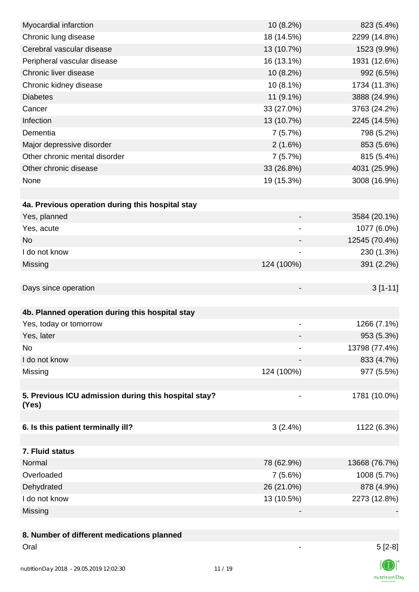| Myocardial infarction                                | 10 (8.2%)  | 823 (5.4%)    |
|------------------------------------------------------|------------|---------------|
| Chronic lung disease                                 | 18 (14.5%) | 2299 (14.8%)  |
| Cerebral vascular disease                            | 13 (10.7%) | 1523 (9.9%)   |
| Peripheral vascular disease                          | 16 (13.1%) | 1931 (12.6%)  |
| Chronic liver disease                                | 10 (8.2%)  | 992 (6.5%)    |
| Chronic kidney disease                               | 10 (8.1%)  | 1734 (11.3%)  |
| <b>Diabetes</b>                                      | 11 (9.1%)  | 3888 (24.9%)  |
| Cancer                                               | 33 (27.0%) | 3763 (24.2%)  |
| Infection                                            | 13 (10.7%) | 2245 (14.5%)  |
| Dementia                                             | 7(5.7%)    | 798 (5.2%)    |
| Major depressive disorder                            | 2(1.6%)    | 853 (5.6%)    |
| Other chronic mental disorder                        | 7(5.7%)    | 815 (5.4%)    |
| Other chronic disease                                | 33 (26.8%) | 4031 (25.9%)  |
| None                                                 | 19 (15.3%) | 3008 (16.9%)  |
|                                                      |            |               |
| 4a. Previous operation during this hospital stay     |            |               |
| Yes, planned                                         |            | 3584 (20.1%)  |
| Yes, acute                                           | -          | 1077 (6.0%)   |
| No                                                   | -          | 12545 (70.4%) |
| I do not know                                        |            | 230 (1.3%)    |
| Missing                                              | 124 (100%) | 391 (2.2%)    |
|                                                      |            |               |
| Days since operation                                 |            | $3[1-11]$     |
|                                                      |            |               |
| 4b. Planned operation during this hospital stay      |            |               |
| Yes, today or tomorrow                               |            | 1266 (7.1%)   |
| Yes, later                                           |            | 953 (5.3%)    |
| No                                                   |            | 13798 (77.4%) |
| I do not know                                        |            | 833 (4.7%)    |
| Missing                                              | 124 (100%) | 977 (5.5%)    |
|                                                      |            |               |
| 5. Previous ICU admission during this hospital stay? |            | 1781 (10.0%)  |
| (Yes)                                                |            |               |
|                                                      |            |               |
| 6. Is this patient terminally ill?                   | 3(2.4%)    | 1122 (6.3%)   |
|                                                      |            |               |
| 7. Fluid status                                      |            |               |
| Normal                                               | 78 (62.9%) | 13668 (76.7%) |
| Overloaded                                           | 7(5.6%)    | 1008 (5.7%)   |
| Dehydrated                                           | 26 (21.0%) | 878 (4.9%)    |
| I do not know                                        | 13 (10.5%) | 2273 (12.8%)  |
| Missing                                              |            |               |
|                                                      |            |               |
| 8. Number of different medications planned           |            |               |

 $\overline{\mathbb{O}}$ nutritionDay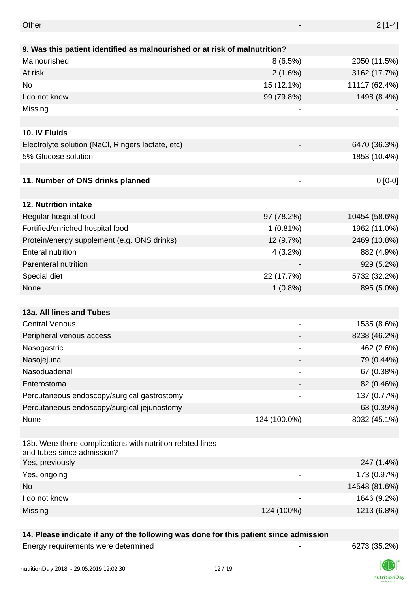| Other                                                                                    |                              | $2[1-4]$      |
|------------------------------------------------------------------------------------------|------------------------------|---------------|
| 9. Was this patient identified as malnourished or at risk of malnutrition?               |                              |               |
| Malnourished                                                                             | 8(6.5%)                      | 2050 (11.5%)  |
| At risk                                                                                  | 2(1.6%)                      | 3162 (17.7%)  |
| No                                                                                       | 15 (12.1%)                   | 11117 (62.4%) |
| I do not know                                                                            | 99 (79.8%)                   | 1498 (8.4%)   |
| Missing                                                                                  |                              |               |
|                                                                                          |                              |               |
| 10. IV Fluids                                                                            |                              |               |
| Electrolyte solution (NaCl, Ringers lactate, etc)                                        |                              | 6470 (36.3%)  |
| 5% Glucose solution                                                                      |                              | 1853 (10.4%)  |
|                                                                                          |                              |               |
| 11. Number of ONS drinks planned                                                         |                              | $0[0-0]$      |
|                                                                                          |                              |               |
| 12. Nutrition intake                                                                     |                              |               |
| Regular hospital food                                                                    | 97 (78.2%)                   | 10454 (58.6%) |
| Fortified/enriched hospital food                                                         | 1(0.81%)                     | 1962 (11.0%)  |
| Protein/energy supplement (e.g. ONS drinks)                                              | 12 (9.7%)                    | 2469 (13.8%)  |
| <b>Enteral nutrition</b>                                                                 | $4(3.2\%)$                   | 882 (4.9%)    |
| Parenteral nutrition                                                                     |                              | 929 (5.2%)    |
| Special diet                                                                             | 22 (17.7%)                   | 5732 (32.2%)  |
| None                                                                                     | $1(0.8\%)$                   | 895 (5.0%)    |
|                                                                                          |                              |               |
| 13a. All lines and Tubes                                                                 |                              |               |
| <b>Central Venous</b>                                                                    |                              | 1535 (8.6%)   |
| Peripheral venous access                                                                 |                              | 8238 (46.2%)  |
| Nasogastric                                                                              |                              | 462 (2.6%)    |
| Nasojejunal                                                                              |                              | 79 (0.44%)    |
| Nasoduadenal                                                                             |                              | 67 (0.38%)    |
| Enterostoma                                                                              |                              | 82 (0.46%)    |
| Percutaneous endoscopy/surgical gastrostomy                                              |                              | 137 (0.77%)   |
| Percutaneous endoscopy/surgical jejunostomy                                              |                              | 63 (0.35%)    |
| None                                                                                     | 124 (100.0%)                 | 8032 (45.1%)  |
|                                                                                          |                              |               |
| 13b. Were there complications with nutrition related lines<br>and tubes since admission? |                              |               |
| Yes, previously                                                                          |                              | 247 (1.4%)    |
| Yes, ongoing                                                                             | $\qquad \qquad \blacksquare$ | 173 (0.97%)   |
| No                                                                                       |                              | 14548 (81.6%) |
| I do not know                                                                            |                              | 1646 (9.2%)   |
| Missing                                                                                  | 124 (100%)                   | 1213 (6.8%)   |

## **14. Please indicate if any of the following was done for this patient since admission**

Energy requirements were determined and the state of the state of the 6273 (35.2%)

nutritionDay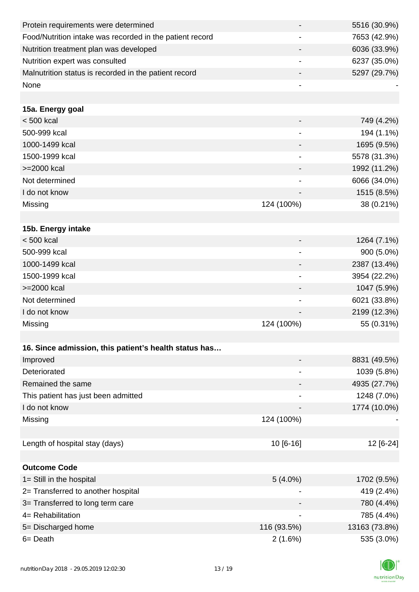| Protein requirements were determined                     |                              | 5516 (30.9%)  |
|----------------------------------------------------------|------------------------------|---------------|
| Food/Nutrition intake was recorded in the patient record |                              | 7653 (42.9%)  |
| Nutrition treatment plan was developed                   |                              | 6036 (33.9%)  |
| Nutrition expert was consulted                           |                              | 6237 (35.0%)  |
| Malnutrition status is recorded in the patient record    | $\blacksquare$               | 5297 (29.7%)  |
| None                                                     |                              |               |
|                                                          |                              |               |
| 15a. Energy goal                                         |                              |               |
| $< 500$ kcal                                             |                              | 749 (4.2%)    |
| 500-999 kcal                                             |                              | 194 (1.1%)    |
| 1000-1499 kcal                                           |                              | 1695 (9.5%)   |
| 1500-1999 kcal                                           | $\overline{\phantom{a}}$     | 5578 (31.3%)  |
| >=2000 kcal                                              |                              | 1992 (11.2%)  |
| Not determined                                           | -                            | 6066 (34.0%)  |
| I do not know                                            |                              | 1515 (8.5%)   |
| Missing                                                  | 124 (100%)                   | 38 (0.21%)    |
|                                                          |                              |               |
| 15b. Energy intake                                       |                              |               |
| $< 500$ kcal                                             | -                            | 1264 (7.1%)   |
| 500-999 kcal                                             |                              | 900 (5.0%)    |
| 1000-1499 kcal                                           |                              | 2387 (13.4%)  |
| 1500-1999 kcal                                           | $\overline{a}$               | 3954 (22.2%)  |
| >=2000 kcal                                              | -                            | 1047 (5.9%)   |
| Not determined                                           | $\overline{\phantom{a}}$     | 6021 (33.8%)  |
| I do not know                                            |                              | 2199 (12.3%)  |
| Missing                                                  | 124 (100%)                   | 55 (0.31%)    |
|                                                          |                              |               |
| 16. Since admission, this patient's health status has    |                              |               |
| Improved                                                 |                              | 8831 (49.5%)  |
| Deteriorated                                             | $\qquad \qquad \blacksquare$ | 1039 (5.8%)   |
| Remained the same                                        |                              | 4935 (27.7%)  |
| This patient has just been admitted                      |                              | 1248 (7.0%)   |
| I do not know                                            |                              | 1774 (10.0%)  |
| Missing                                                  | 124 (100%)                   |               |
|                                                          |                              |               |
| Length of hospital stay (days)                           | 10 [6-16]                    | 12 [6-24]     |
|                                                          |                              |               |
| <b>Outcome Code</b>                                      |                              |               |
| 1= Still in the hospital                                 | $5(4.0\%)$                   | 1702 (9.5%)   |
| 2= Transferred to another hospital                       |                              | 419 (2.4%)    |
| 3= Transferred to long term care                         |                              | 780 (4.4%)    |
| 4= Rehabilitation                                        | $\overline{\phantom{a}}$     | 785 (4.4%)    |
| 5= Discharged home                                       | 116 (93.5%)                  | 13163 (73.8%) |
| 6= Death                                                 | 2(1.6%)                      | 535 (3.0%)    |
|                                                          |                              |               |

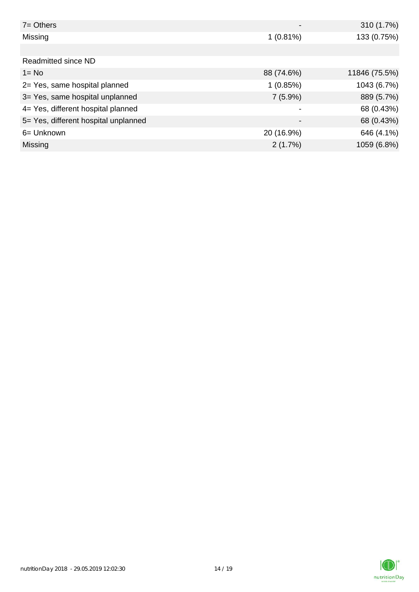| $7 =$ Others                         |             | 310 (1.7%)    |
|--------------------------------------|-------------|---------------|
| Missing                              | $1(0.81\%)$ | 133 (0.75%)   |
|                                      |             |               |
| <b>Readmitted since ND</b>           |             |               |
| $1 = No$                             | 88 (74.6%)  | 11846 (75.5%) |
| 2= Yes, same hospital planned        | 1(0.85%)    | 1043 (6.7%)   |
| 3= Yes, same hospital unplanned      | $7(5.9\%)$  | 889 (5.7%)    |
| 4= Yes, different hospital planned   |             | 68 (0.43%)    |
| 5= Yes, different hospital unplanned | -           | 68 (0.43%)    |
| 6= Unknown                           | 20 (16.9%)  | 646 (4.1%)    |
| Missing                              | 2(1.7%)     | 1059 (6.8%)   |

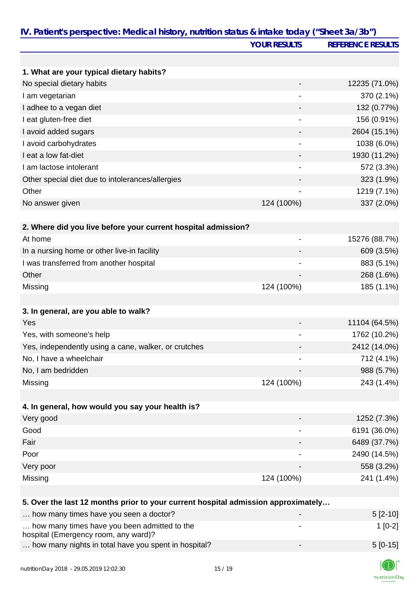|                                                                                   | <b>YOUR RESULTS</b>          | <b>REFERENCE RESULTS</b> |
|-----------------------------------------------------------------------------------|------------------------------|--------------------------|
|                                                                                   |                              |                          |
| 1. What are your typical dietary habits?                                          |                              |                          |
| No special dietary habits                                                         |                              | 12235 (71.0%)            |
| I am vegetarian                                                                   |                              | 370 (2.1%)               |
| I adhee to a vegan diet                                                           |                              | 132 (0.77%)              |
| I eat gluten-free diet                                                            | $\blacksquare$               | 156 (0.91%)              |
| I avoid added sugars                                                              |                              | 2604 (15.1%)             |
| I avoid carbohydrates                                                             |                              | 1038 (6.0%)              |
| I eat a low fat-diet                                                              |                              | 1930 (11.2%)             |
| I am lactose intolerant                                                           |                              | 572 (3.3%)               |
| Other special diet due to intolerances/allergies                                  |                              | 323 (1.9%)               |
| Other                                                                             |                              | 1219 (7.1%)              |
| No answer given                                                                   | 124 (100%)                   | 337 (2.0%)               |
|                                                                                   |                              |                          |
| 2. Where did you live before your current hospital admission?                     |                              |                          |
| At home                                                                           | $\qquad \qquad \blacksquare$ | 15276 (88.7%)            |
| In a nursing home or other live-in facility                                       |                              | 609 (3.5%)               |
| I was transferred from another hospital                                           | $\qquad \qquad \blacksquare$ | 883 (5.1%)               |
| Other                                                                             |                              | 268 (1.6%)               |
| Missing                                                                           | 124 (100%)                   | 185 (1.1%)               |
|                                                                                   |                              |                          |
| 3. In general, are you able to walk?                                              |                              |                          |
| Yes                                                                               |                              | 11104 (64.5%)            |
| Yes, with someone's help                                                          |                              | 1762 (10.2%)             |
| Yes, independently using a cane, walker, or crutches                              |                              | 2412 (14.0%)             |
| No, I have a wheelchair                                                           |                              | 712 (4.1%)               |
| No, I am bedridden                                                                |                              | 988 (5.7%)               |
| Missing                                                                           | 124 (100%)                   | 243 (1.4%)               |
|                                                                                   |                              |                          |
| 4. In general, how would you say your health is?                                  |                              |                          |
| Very good                                                                         |                              | 1252 (7.3%)              |
| Good                                                                              |                              | 6191 (36.0%)             |
| Fair                                                                              |                              | 6489 (37.7%)             |
| Poor                                                                              |                              | 2490 (14.5%)             |
| Very poor                                                                         |                              | 558 (3.2%)               |
| Missing                                                                           | 124 (100%)                   | 241 (1.4%)               |
|                                                                                   |                              |                          |
| 5. Over the last 12 months prior to your current hospital admission approximately |                              |                          |
| how many times have you seen a doctor?                                            |                              | $5[2-10]$                |
| how many times have you been admitted to the                                      |                              | $1[0-2]$                 |
| hospital (Emergency room, any ward)?                                              |                              |                          |
| how many nights in total have you spent in hospital?                              |                              | $5[0-15]$                |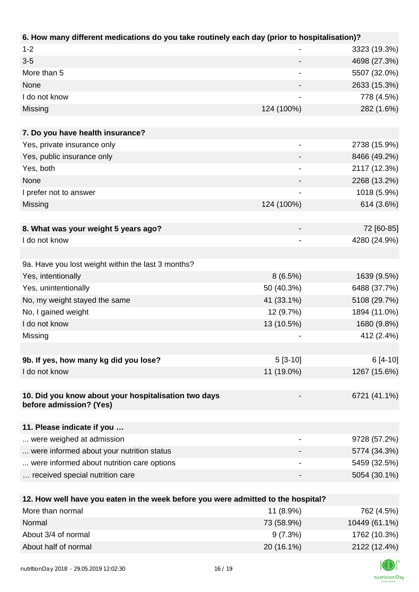| 6. How many different medications do you take routinely each day (prior to hospitalisation)?          |                              |               |
|-------------------------------------------------------------------------------------------------------|------------------------------|---------------|
| $1 - 2$                                                                                               |                              | 3323 (19.3%)  |
| $3 - 5$                                                                                               |                              | 4698 (27.3%)  |
| More than 5                                                                                           |                              | 5507 (32.0%)  |
| None                                                                                                  |                              | 2633 (15.3%)  |
| I do not know                                                                                         |                              | 778 (4.5%)    |
| Missing                                                                                               | 124 (100%)                   | 282 (1.6%)    |
|                                                                                                       |                              |               |
| 7. Do you have health insurance?                                                                      |                              |               |
| Yes, private insurance only                                                                           |                              | 2738 (15.9%)  |
| Yes, public insurance only                                                                            |                              | 8466 (49.2%)  |
| Yes, both                                                                                             |                              | 2117 (12.3%)  |
| None                                                                                                  |                              | 2268 (13.2%)  |
| I prefer not to answer                                                                                | $\qquad \qquad \blacksquare$ | 1018 (5.9%)   |
| Missing                                                                                               | 124 (100%)                   | 614 (3.6%)    |
|                                                                                                       |                              |               |
| 8. What was your weight 5 years ago?                                                                  |                              | 72 [60-85]    |
| I do not know                                                                                         |                              | 4280 (24.9%)  |
|                                                                                                       |                              |               |
| 9a. Have you lost weight within the last 3 months?                                                    |                              |               |
| Yes, intentionally                                                                                    | 8(6.5%)                      | 1639 (9.5%)   |
| Yes, unintentionally                                                                                  | 50 (40.3%)                   | 6488 (37.7%)  |
| No, my weight stayed the same                                                                         | 41 (33.1%)                   | 5108 (29.7%)  |
| No, I gained weight                                                                                   | 12 (9.7%)                    | 1894 (11.0%)  |
| I do not know                                                                                         | 13 (10.5%)                   | 1680 (9.8%)   |
| Missing                                                                                               |                              | 412 (2.4%)    |
|                                                                                                       |                              |               |
| 9b. If yes, how many kg did you lose?                                                                 | $5[3-10]$                    | $6[4-10]$     |
| I do not know                                                                                         | 11 (19.0%)                   | 1267 (15.6%)  |
|                                                                                                       |                              |               |
| 10. Did you know about your hospitalisation two days                                                  |                              | 6721 (41.1%)  |
| before admission? (Yes)                                                                               |                              |               |
|                                                                                                       |                              |               |
| 11. Please indicate if you                                                                            |                              |               |
| were weighed at admission                                                                             |                              | 9728 (57.2%)  |
| were informed about your nutrition status                                                             |                              | 5774 (34.3%)  |
| were informed about nutrition care options                                                            |                              | 5459 (32.5%)  |
| received special nutrition care                                                                       |                              | 5054 (30.1%)  |
|                                                                                                       |                              |               |
| 12. How well have you eaten in the week before you were admitted to the hospital?<br>More than normal |                              |               |
|                                                                                                       | 11 (8.9%)                    | 762 (4.5%)    |
| Normal                                                                                                | 73 (58.9%)                   | 10449 (61.1%) |
| About 3/4 of normal                                                                                   | 9(7.3%)                      | 1762 (10.3%)  |

About half of normal 20 (16.1%) 2122 (12.4%)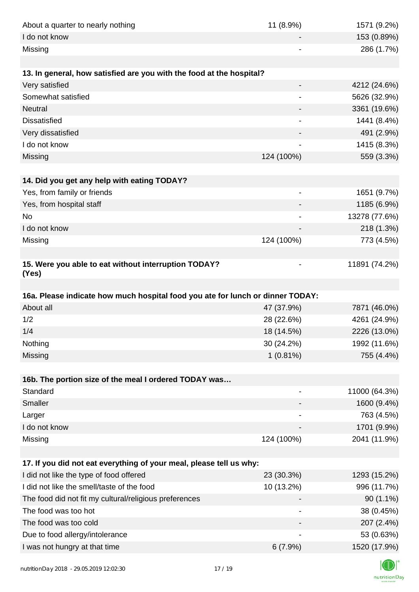| About a quarter to nearly nothing                                              | 11 (8.9%)                    | 1571 (9.2%)   |
|--------------------------------------------------------------------------------|------------------------------|---------------|
| I do not know                                                                  |                              | 153 (0.89%)   |
| Missing                                                                        |                              | 286 (1.7%)    |
|                                                                                |                              |               |
| 13. In general, how satisfied are you with the food at the hospital?           |                              |               |
| Very satisfied                                                                 | -                            | 4212 (24.6%)  |
| Somewhat satisfied                                                             |                              | 5626 (32.9%)  |
| <b>Neutral</b>                                                                 |                              | 3361 (19.6%)  |
| <b>Dissatisfied</b>                                                            |                              | 1441 (8.4%)   |
| Very dissatisfied                                                              |                              | 491 (2.9%)    |
| I do not know                                                                  |                              | 1415 (8.3%)   |
| Missing                                                                        | 124 (100%)                   | 559 (3.3%)    |
|                                                                                |                              |               |
| 14. Did you get any help with eating TODAY?                                    |                              |               |
| Yes, from family or friends                                                    | $\qquad \qquad \blacksquare$ | 1651 (9.7%)   |
| Yes, from hospital staff                                                       |                              | 1185 (6.9%)   |
| <b>No</b>                                                                      | $\overline{\phantom{a}}$     | 13278 (77.6%) |
| I do not know                                                                  |                              | 218 (1.3%)    |
| Missing                                                                        | 124 (100%)                   | 773 (4.5%)    |
|                                                                                |                              |               |
| 15. Were you able to eat without interruption TODAY?<br>(Yes)                  |                              | 11891 (74.2%) |
|                                                                                |                              |               |
| 16a. Please indicate how much hospital food you ate for lunch or dinner TODAY: |                              |               |
| About all                                                                      | 47 (37.9%)                   | 7871 (46.0%)  |
| 1/2                                                                            | 28 (22.6%)                   | 4261 (24.9%)  |
| 1/4                                                                            | 18 (14.5%)                   | 2226 (13.0%)  |
| Nothing                                                                        | 30 (24.2%)                   | 1992 (11.6%)  |
| Missing                                                                        | $1(0.81\%)$                  | 755 (4.4%)    |
|                                                                                |                              |               |
| 16b. The portion size of the meal I ordered TODAY was                          |                              |               |
| Standard                                                                       |                              | 11000 (64.3%) |
| Smaller                                                                        |                              | 1600 (9.4%)   |
| Larger                                                                         |                              | 763 (4.5%)    |
| I do not know                                                                  |                              | 1701 (9.9%)   |
| Missing                                                                        | 124 (100%)                   | 2041 (11.9%)  |
| 17. If you did not eat everything of your meal, please tell us why:            |                              |               |
| I did not like the type of food offered                                        | 23 (30.3%)                   | 1293 (15.2%)  |
| I did not like the smell/taste of the food                                     | 10 (13.2%)                   | 996 (11.7%)   |
| The food did not fit my cultural/religious preferences                         |                              | 90 (1.1%)     |
| The food was too hot                                                           |                              | 38 (0.45%)    |
| The food was too cold                                                          |                              | 207 (2.4%)    |
| Due to food allergy/intolerance                                                |                              | 53 (0.63%)    |
| I was not hungry at that time                                                  | 6(7.9%)                      | 1520 (17.9%)  |
|                                                                                |                              |               |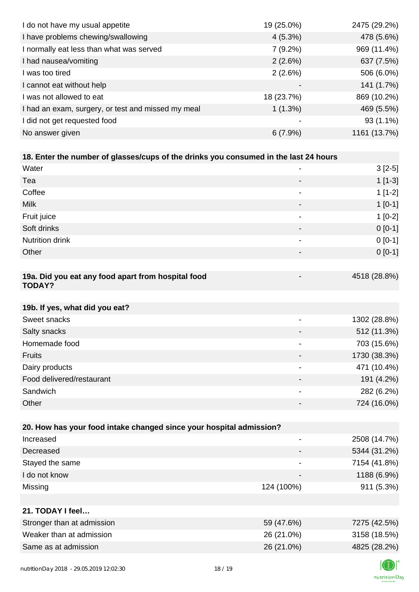| I do not have my usual appetite                                                      | 19 (25.0%)               | 2475 (29.2%) |
|--------------------------------------------------------------------------------------|--------------------------|--------------|
| I have problems chewing/swallowing                                                   | $4(5.3\%)$               | 478 (5.6%)   |
| I normally eat less than what was served                                             | 7(9.2%)                  | 969 (11.4%)  |
| I had nausea/vomiting                                                                | 2(2.6%)                  | 637 (7.5%)   |
| I was too tired                                                                      | 2(2.6%)                  | 506 (6.0%)   |
| I cannot eat without help                                                            |                          | 141 (1.7%)   |
| I was not allowed to eat                                                             | 18 (23.7%)               | 869 (10.2%)  |
| I had an exam, surgery, or test and missed my meal                                   | 1(1.3%)                  | 469 (5.5%)   |
| I did not get requested food                                                         |                          | 93 (1.1%)    |
| No answer given                                                                      | 6(7.9%)                  | 1161 (13.7%) |
|                                                                                      |                          |              |
| 18. Enter the number of glasses/cups of the drinks you consumed in the last 24 hours |                          |              |
| Water                                                                                |                          | $3[2-5]$     |
| Tea                                                                                  |                          | $1[1-3]$     |
| Coffee                                                                               |                          | $1[1-2]$     |
| <b>Milk</b>                                                                          |                          | $1[0-1]$     |
| Fruit juice                                                                          | $\overline{\phantom{a}}$ | $1[0-2]$     |
| Soft drinks                                                                          |                          | $0 [0-1]$    |
| Nutrition drink                                                                      | $\overline{\phantom{a}}$ | $0 [0-1]$    |
| Other                                                                                |                          | $0 [0-1]$    |
|                                                                                      |                          |              |
| 19a. Did you eat any food apart from hospital food<br><b>TODAY?</b>                  |                          | 4518 (28.8%) |
| 19b. If yes, what did you eat?                                                       |                          |              |
| Sweet snacks                                                                         |                          | 1302 (28.8%) |
| Salty snacks                                                                         |                          | 512 (11.3%)  |
| Homemade food                                                                        |                          | 703 (15.6%)  |
| <b>Fruits</b>                                                                        |                          | 1730 (38.3%) |
| Dairy products                                                                       | $\overline{a}$           | 471 (10.4%)  |
| Food delivered/restaurant                                                            |                          | 191 (4.2%)   |
| Sandwich                                                                             |                          | 282 (6.2%)   |
| Other                                                                                |                          | 724 (16.0%)  |
|                                                                                      |                          |              |
| 20. How has your food intake changed since your hospital admission?                  |                          |              |
| Increased                                                                            | $\overline{\phantom{a}}$ | 2508 (14.7%) |
| Decreased                                                                            |                          | 5344 (31.2%) |
| Stayed the same                                                                      |                          | 7154 (41.8%) |
| I do not know                                                                        |                          | 1188 (6.9%)  |
| Missing                                                                              | 124 (100%)               | 911 (5.3%)   |
|                                                                                      |                          |              |
| 21. TODAY I feel                                                                     |                          |              |
| Stronger than at admission                                                           | 59 (47.6%)               | 7275 (42.5%) |
| Weaker than at admission                                                             | 26 (21.0%)               | 3158 (18.5%) |
| Same as at admission                                                                 | 26 (21.0%)               | 4825 (28.2%) |
|                                                                                      |                          |              |